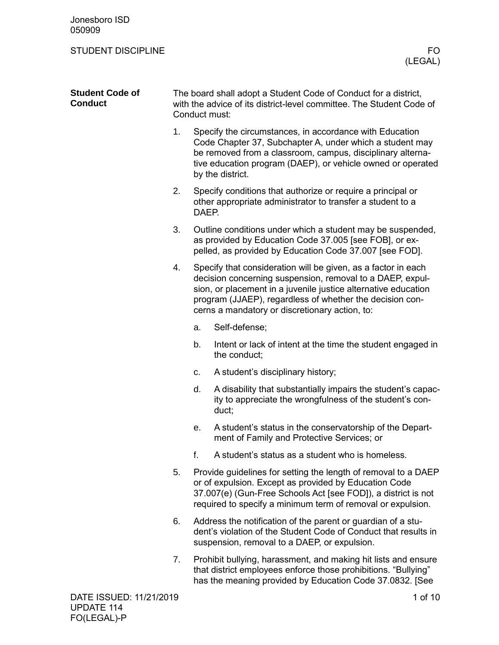| Jonesboro ISD<br>050909                  |                                                                                                                                                          |       |                                                                                                                                                                                                                                                                                                            |
|------------------------------------------|----------------------------------------------------------------------------------------------------------------------------------------------------------|-------|------------------------------------------------------------------------------------------------------------------------------------------------------------------------------------------------------------------------------------------------------------------------------------------------------------|
| <b>STUDENT DISCIPLINE</b>                |                                                                                                                                                          |       | FO.<br>(LEGAL)                                                                                                                                                                                                                                                                                             |
| <b>Student Code of</b><br><b>Conduct</b> | The board shall adopt a Student Code of Conduct for a district,<br>with the advice of its district-level committee. The Student Code of<br>Conduct must: |       |                                                                                                                                                                                                                                                                                                            |
|                                          | 1.                                                                                                                                                       |       | Specify the circumstances, in accordance with Education<br>Code Chapter 37, Subchapter A, under which a student may<br>be removed from a classroom, campus, disciplinary alterna-<br>tive education program (DAEP), or vehicle owned or operated<br>by the district.                                       |
|                                          | 2.                                                                                                                                                       | DAEP. | Specify conditions that authorize or require a principal or<br>other appropriate administrator to transfer a student to a                                                                                                                                                                                  |
|                                          | 3.                                                                                                                                                       |       | Outline conditions under which a student may be suspended,<br>as provided by Education Code 37.005 [see FOB], or ex-<br>pelled, as provided by Education Code 37.007 [see FOD].                                                                                                                            |
|                                          | 4.                                                                                                                                                       |       | Specify that consideration will be given, as a factor in each<br>decision concerning suspension, removal to a DAEP, expul-<br>sion, or placement in a juvenile justice alternative education<br>program (JJAEP), regardless of whether the decision con-<br>cerns a mandatory or discretionary action, to: |
|                                          |                                                                                                                                                          | a.    | Self-defense;                                                                                                                                                                                                                                                                                              |
|                                          |                                                                                                                                                          | b.    | Intent or lack of intent at the time the student engaged in<br>the conduct;                                                                                                                                                                                                                                |
|                                          |                                                                                                                                                          | c.    | A student's disciplinary history;                                                                                                                                                                                                                                                                          |
|                                          |                                                                                                                                                          | d.    | A disability that substantially impairs the student's capac-<br>ity to appreciate the wrongfulness of the student's con-<br>duct;                                                                                                                                                                          |
|                                          |                                                                                                                                                          | е.    | A student's status in the conservatorship of the Depart-<br>ment of Family and Protective Services; or                                                                                                                                                                                                     |
|                                          |                                                                                                                                                          | f.    | A student's status as a student who is homeless.                                                                                                                                                                                                                                                           |
|                                          | 5.                                                                                                                                                       |       | Provide guidelines for setting the length of removal to a DAEP<br>or of expulsion. Except as provided by Education Code<br>37.007(e) (Gun-Free Schools Act [see FOD]), a district is not<br>required to specify a minimum term of removal or expulsion.                                                    |
|                                          | 6.                                                                                                                                                       |       | Address the notification of the parent or guardian of a stu-<br>dent's violation of the Student Code of Conduct that results in<br>suspension, removal to a DAEP, or expulsion.                                                                                                                            |
|                                          | 7.                                                                                                                                                       |       | Prohibit bullying, harassment, and making hit lists and ensure<br>that district employees enforce those prohibitions. "Bullying"<br>has the meaning provided by Education Code 37.0832. [See                                                                                                               |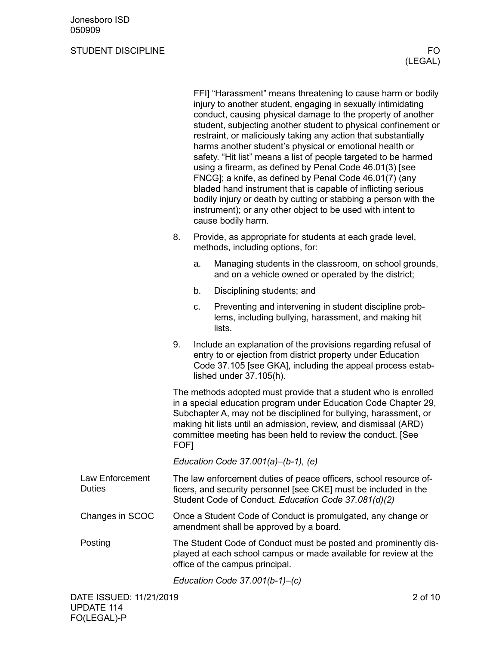|                                         |                                                                                                                                                                                                                                                                                                                                                    |                                                                                               | FFI] "Harassment" means threatening to cause harm or bodily<br>injury to another student, engaging in sexually intimidating<br>conduct, causing physical damage to the property of another<br>student, subjecting another student to physical confinement or<br>restraint, or maliciously taking any action that substantially<br>harms another student's physical or emotional health or<br>safety. "Hit list" means a list of people targeted to be harmed<br>using a firearm, as defined by Penal Code 46.01(3) [see<br>FNCG]; a knife, as defined by Penal Code 46.01(7) (any<br>bladed hand instrument that is capable of inflicting serious<br>bodily injury or death by cutting or stabbing a person with the<br>instrument); or any other object to be used with intent to<br>cause bodily harm. |  |
|-----------------------------------------|----------------------------------------------------------------------------------------------------------------------------------------------------------------------------------------------------------------------------------------------------------------------------------------------------------------------------------------------------|-----------------------------------------------------------------------------------------------|----------------------------------------------------------------------------------------------------------------------------------------------------------------------------------------------------------------------------------------------------------------------------------------------------------------------------------------------------------------------------------------------------------------------------------------------------------------------------------------------------------------------------------------------------------------------------------------------------------------------------------------------------------------------------------------------------------------------------------------------------------------------------------------------------------|--|
|                                         | 8.                                                                                                                                                                                                                                                                                                                                                 | Provide, as appropriate for students at each grade level,<br>methods, including options, for: |                                                                                                                                                                                                                                                                                                                                                                                                                                                                                                                                                                                                                                                                                                                                                                                                          |  |
|                                         |                                                                                                                                                                                                                                                                                                                                                    | a.                                                                                            | Managing students in the classroom, on school grounds,<br>and on a vehicle owned or operated by the district;                                                                                                                                                                                                                                                                                                                                                                                                                                                                                                                                                                                                                                                                                            |  |
|                                         |                                                                                                                                                                                                                                                                                                                                                    | b.                                                                                            | Disciplining students; and                                                                                                                                                                                                                                                                                                                                                                                                                                                                                                                                                                                                                                                                                                                                                                               |  |
|                                         |                                                                                                                                                                                                                                                                                                                                                    | c.                                                                                            | Preventing and intervening in student discipline prob-<br>lems, including bullying, harassment, and making hit<br>lists.                                                                                                                                                                                                                                                                                                                                                                                                                                                                                                                                                                                                                                                                                 |  |
|                                         | 9.                                                                                                                                                                                                                                                                                                                                                 |                                                                                               | Include an explanation of the provisions regarding refusal of<br>entry to or ejection from district property under Education<br>Code 37.105 [see GKA], including the appeal process estab-<br>lished under 37.105(h).                                                                                                                                                                                                                                                                                                                                                                                                                                                                                                                                                                                    |  |
|                                         | The methods adopted must provide that a student who is enrolled<br>in a special education program under Education Code Chapter 29,<br>Subchapter A, may not be disciplined for bullying, harassment, or<br>making hit lists until an admission, review, and dismissal (ARD)<br>committee meeting has been held to review the conduct. [See<br>FOF1 |                                                                                               |                                                                                                                                                                                                                                                                                                                                                                                                                                                                                                                                                                                                                                                                                                                                                                                                          |  |
|                                         | Education Code $37.001(a)–(b-1)$ , (e)                                                                                                                                                                                                                                                                                                             |                                                                                               |                                                                                                                                                                                                                                                                                                                                                                                                                                                                                                                                                                                                                                                                                                                                                                                                          |  |
| <b>Law Enforcement</b><br><b>Duties</b> |                                                                                                                                                                                                                                                                                                                                                    |                                                                                               | The law enforcement duties of peace officers, school resource of-<br>ficers, and security personnel [see CKE] must be included in the<br>Student Code of Conduct. Education Code 37.081(d)(2)                                                                                                                                                                                                                                                                                                                                                                                                                                                                                                                                                                                                            |  |
| Changes in SCOC                         |                                                                                                                                                                                                                                                                                                                                                    |                                                                                               | Once a Student Code of Conduct is promulgated, any change or<br>amendment shall be approved by a board.                                                                                                                                                                                                                                                                                                                                                                                                                                                                                                                                                                                                                                                                                                  |  |
| Posting                                 |                                                                                                                                                                                                                                                                                                                                                    |                                                                                               | The Student Code of Conduct must be posted and prominently dis-<br>played at each school campus or made available for review at the<br>office of the campus principal.                                                                                                                                                                                                                                                                                                                                                                                                                                                                                                                                                                                                                                   |  |
|                                         |                                                                                                                                                                                                                                                                                                                                                    |                                                                                               | Education Code $37.001(b-1) - (c)$                                                                                                                                                                                                                                                                                                                                                                                                                                                                                                                                                                                                                                                                                                                                                                       |  |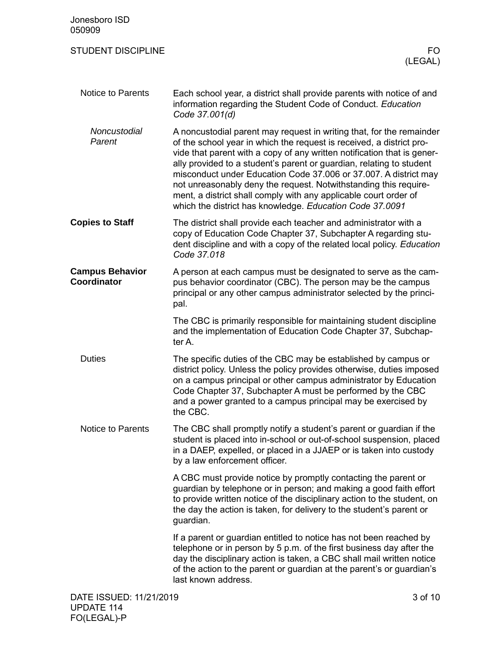| Jonesboro ISD<br>050909                      |                                                                                                                                                                                                                                                                                                                                                                                                                                                                                                                                                                         |  |  |  |
|----------------------------------------------|-------------------------------------------------------------------------------------------------------------------------------------------------------------------------------------------------------------------------------------------------------------------------------------------------------------------------------------------------------------------------------------------------------------------------------------------------------------------------------------------------------------------------------------------------------------------------|--|--|--|
| <b>STUDENT DISCIPLINE</b>                    | FO.<br>(LEGAL)                                                                                                                                                                                                                                                                                                                                                                                                                                                                                                                                                          |  |  |  |
| <b>Notice to Parents</b>                     | Each school year, a district shall provide parents with notice of and<br>information regarding the Student Code of Conduct. Education<br>Code 37.001(d)                                                                                                                                                                                                                                                                                                                                                                                                                 |  |  |  |
| Noncustodial<br>Parent                       | A noncustodial parent may request in writing that, for the remainder<br>of the school year in which the request is received, a district pro-<br>vide that parent with a copy of any written notification that is gener-<br>ally provided to a student's parent or guardian, relating to student<br>misconduct under Education Code 37.006 or 37.007. A district may<br>not unreasonably deny the request. Notwithstanding this require-<br>ment, a district shall comply with any applicable court order of<br>which the district has knowledge. Education Code 37.0091 |  |  |  |
| <b>Copies to Staff</b>                       | The district shall provide each teacher and administrator with a<br>copy of Education Code Chapter 37, Subchapter A regarding stu-<br>dent discipline and with a copy of the related local policy. Education<br>Code 37.018                                                                                                                                                                                                                                                                                                                                             |  |  |  |
| <b>Campus Behavior</b><br><b>Coordinator</b> | A person at each campus must be designated to serve as the cam-<br>pus behavior coordinator (CBC). The person may be the campus<br>principal or any other campus administrator selected by the princi-<br>pal.                                                                                                                                                                                                                                                                                                                                                          |  |  |  |
|                                              | The CBC is primarily responsible for maintaining student discipline<br>and the implementation of Education Code Chapter 37, Subchap-<br>ter A.                                                                                                                                                                                                                                                                                                                                                                                                                          |  |  |  |
| <b>Duties</b>                                | The specific duties of the CBC may be established by campus or<br>district policy. Unless the policy provides otherwise, duties imposed<br>on a campus principal or other campus administrator by Education<br>Code Chapter 37, Subchapter A must be performed by the CBC<br>and a power granted to a campus principal may be exercised by<br>the CBC.                                                                                                                                                                                                                  |  |  |  |
| <b>Notice to Parents</b>                     | The CBC shall promptly notify a student's parent or guardian if the<br>student is placed into in-school or out-of-school suspension, placed<br>in a DAEP, expelled, or placed in a JJAEP or is taken into custody<br>by a law enforcement officer.                                                                                                                                                                                                                                                                                                                      |  |  |  |
|                                              | A CBC must provide notice by promptly contacting the parent or<br>guardian by telephone or in person; and making a good faith effort<br>to provide written notice of the disciplinary action to the student, on<br>the day the action is taken, for delivery to the student's parent or<br>guardian.                                                                                                                                                                                                                                                                    |  |  |  |
|                                              | If a parent or guardian entitled to notice has not been reached by<br>telephone or in person by 5 p.m. of the first business day after the<br>day the disciplinary action is taken, a CBC shall mail written notice<br>of the action to the parent or guardian at the parent's or guardian's<br>last known address.                                                                                                                                                                                                                                                     |  |  |  |
|                                              | DATE ISSUED: 11/21/2019<br>3 of 10                                                                                                                                                                                                                                                                                                                                                                                                                                                                                                                                      |  |  |  |

UPDATE 114 FO(LEGAL)-P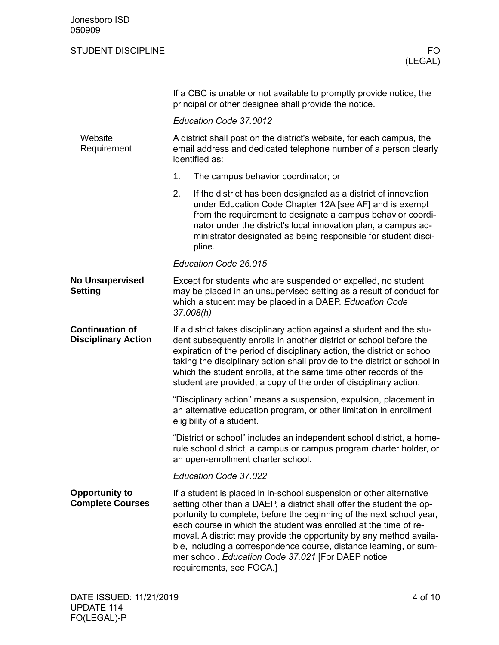| Jonesboro ISD<br>050909                              |                                                                                                                                                                                                                                                                                                                                                                                                                                                                                                                         |  |  |
|------------------------------------------------------|-------------------------------------------------------------------------------------------------------------------------------------------------------------------------------------------------------------------------------------------------------------------------------------------------------------------------------------------------------------------------------------------------------------------------------------------------------------------------------------------------------------------------|--|--|
| <b>STUDENT DISCIPLINE</b>                            | FO<br>(LEGAL)                                                                                                                                                                                                                                                                                                                                                                                                                                                                                                           |  |  |
|                                                      | If a CBC is unable or not available to promptly provide notice, the<br>principal or other designee shall provide the notice.                                                                                                                                                                                                                                                                                                                                                                                            |  |  |
|                                                      | Education Code 37.0012                                                                                                                                                                                                                                                                                                                                                                                                                                                                                                  |  |  |
| Website<br>Requirement                               | A district shall post on the district's website, for each campus, the<br>email address and dedicated telephone number of a person clearly<br>identified as:                                                                                                                                                                                                                                                                                                                                                             |  |  |
|                                                      | 1.<br>The campus behavior coordinator; or                                                                                                                                                                                                                                                                                                                                                                                                                                                                               |  |  |
|                                                      | 2.<br>If the district has been designated as a district of innovation<br>under Education Code Chapter 12A [see AF] and is exempt<br>from the requirement to designate a campus behavior coordi-<br>nator under the district's local innovation plan, a campus ad-<br>ministrator designated as being responsible for student disci-<br>pline.                                                                                                                                                                           |  |  |
|                                                      | Education Code 26.015                                                                                                                                                                                                                                                                                                                                                                                                                                                                                                   |  |  |
| <b>No Unsupervised</b><br>Setting                    | Except for students who are suspended or expelled, no student<br>may be placed in an unsupervised setting as a result of conduct for<br>which a student may be placed in a DAEP. Education Code<br>37.008(h)                                                                                                                                                                                                                                                                                                            |  |  |
| <b>Continuation of</b><br><b>Disciplinary Action</b> | If a district takes disciplinary action against a student and the stu-<br>dent subsequently enrolls in another district or school before the<br>expiration of the period of disciplinary action, the district or school<br>taking the disciplinary action shall provide to the district or school in<br>which the student enrolls, at the same time other records of the<br>student are provided, a copy of the order of disciplinary action.                                                                           |  |  |
|                                                      | "Disciplinary action" means a suspension, expulsion, placement in<br>an alternative education program, or other limitation in enrollment<br>eligibility of a student.                                                                                                                                                                                                                                                                                                                                                   |  |  |
|                                                      | "District or school" includes an independent school district, a home-<br>rule school district, a campus or campus program charter holder, or<br>an open-enrollment charter school.                                                                                                                                                                                                                                                                                                                                      |  |  |
|                                                      | Education Code 37.022                                                                                                                                                                                                                                                                                                                                                                                                                                                                                                   |  |  |
| <b>Opportunity to</b><br><b>Complete Courses</b>     | If a student is placed in in-school suspension or other alternative<br>setting other than a DAEP, a district shall offer the student the op-<br>portunity to complete, before the beginning of the next school year,<br>each course in which the student was enrolled at the time of re-<br>moval. A district may provide the opportunity by any method availa-<br>ble, including a correspondence course, distance learning, or sum-<br>mer school. Education Code 37.021 [For DAEP notice<br>requirements, see FOCA.] |  |  |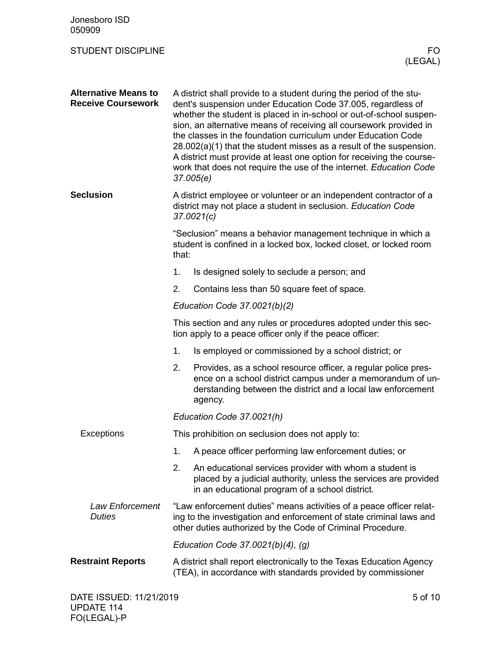| Jonesboro ISD<br>050909                                  |                                                                                                                                                                                                                                                                                                                                                                                                                                                                                                                                                                                        |                                                                                                                                                                                                          |  |  |
|----------------------------------------------------------|----------------------------------------------------------------------------------------------------------------------------------------------------------------------------------------------------------------------------------------------------------------------------------------------------------------------------------------------------------------------------------------------------------------------------------------------------------------------------------------------------------------------------------------------------------------------------------------|----------------------------------------------------------------------------------------------------------------------------------------------------------------------------------------------------------|--|--|
| <b>STUDENT DISCIPLINE</b>                                |                                                                                                                                                                                                                                                                                                                                                                                                                                                                                                                                                                                        | FO.<br>(LEGAL)                                                                                                                                                                                           |  |  |
| <b>Alternative Means to</b><br><b>Receive Coursework</b> | A district shall provide to a student during the period of the stu-<br>dent's suspension under Education Code 37.005, regardless of<br>whether the student is placed in in-school or out-of-school suspen-<br>sion, an alternative means of receiving all coursework provided in<br>the classes in the foundation curriculum under Education Code<br>$28.002(a)(1)$ that the student misses as a result of the suspension.<br>A district must provide at least one option for receiving the course-<br>work that does not require the use of the internet. Education Code<br>37.005(e) |                                                                                                                                                                                                          |  |  |
| <b>Seclusion</b>                                         | A district employee or volunteer or an independent contractor of a<br>district may not place a student in seclusion. Education Code<br>37.0021(c)                                                                                                                                                                                                                                                                                                                                                                                                                                      |                                                                                                                                                                                                          |  |  |
|                                                          | "Seclusion" means a behavior management technique in which a<br>student is confined in a locked box, locked closet, or locked room<br>that:                                                                                                                                                                                                                                                                                                                                                                                                                                            |                                                                                                                                                                                                          |  |  |
|                                                          | 1.                                                                                                                                                                                                                                                                                                                                                                                                                                                                                                                                                                                     | Is designed solely to seclude a person; and                                                                                                                                                              |  |  |
|                                                          | 2.                                                                                                                                                                                                                                                                                                                                                                                                                                                                                                                                                                                     | Contains less than 50 square feet of space.                                                                                                                                                              |  |  |
|                                                          |                                                                                                                                                                                                                                                                                                                                                                                                                                                                                                                                                                                        | Education Code 37.0021(b)(2)                                                                                                                                                                             |  |  |
|                                                          |                                                                                                                                                                                                                                                                                                                                                                                                                                                                                                                                                                                        | This section and any rules or procedures adopted under this sec-<br>tion apply to a peace officer only if the peace officer:                                                                             |  |  |
|                                                          | 1.                                                                                                                                                                                                                                                                                                                                                                                                                                                                                                                                                                                     | Is employed or commissioned by a school district; or                                                                                                                                                     |  |  |
|                                                          | 2.                                                                                                                                                                                                                                                                                                                                                                                                                                                                                                                                                                                     | Provides, as a school resource officer, a regular police pres-<br>ence on a school district campus under a memorandum of un-<br>derstanding between the district and a local law enforcement<br>agency.  |  |  |
|                                                          |                                                                                                                                                                                                                                                                                                                                                                                                                                                                                                                                                                                        | Education Code 37.0021(h)                                                                                                                                                                                |  |  |
| <b>Exceptions</b>                                        |                                                                                                                                                                                                                                                                                                                                                                                                                                                                                                                                                                                        | This prohibition on seclusion does not apply to:                                                                                                                                                         |  |  |
|                                                          | 1.                                                                                                                                                                                                                                                                                                                                                                                                                                                                                                                                                                                     | A peace officer performing law enforcement duties; or                                                                                                                                                    |  |  |
|                                                          | 2.                                                                                                                                                                                                                                                                                                                                                                                                                                                                                                                                                                                     | An educational services provider with whom a student is<br>placed by a judicial authority, unless the services are provided<br>in an educational program of a school district.                           |  |  |
| <b>Law Enforcement</b><br><b>Duties</b>                  |                                                                                                                                                                                                                                                                                                                                                                                                                                                                                                                                                                                        | "Law enforcement duties" means activities of a peace officer relat-<br>ing to the investigation and enforcement of state criminal laws and<br>other duties authorized by the Code of Criminal Procedure. |  |  |
|                                                          | Education Code $37.0021(b)(4)$ , (g)                                                                                                                                                                                                                                                                                                                                                                                                                                                                                                                                                   |                                                                                                                                                                                                          |  |  |
| <b>Restraint Reports</b>                                 |                                                                                                                                                                                                                                                                                                                                                                                                                                                                                                                                                                                        | A district shall report electronically to the Texas Education Agency<br>(TEA), in accordance with standards provided by commissioner                                                                     |  |  |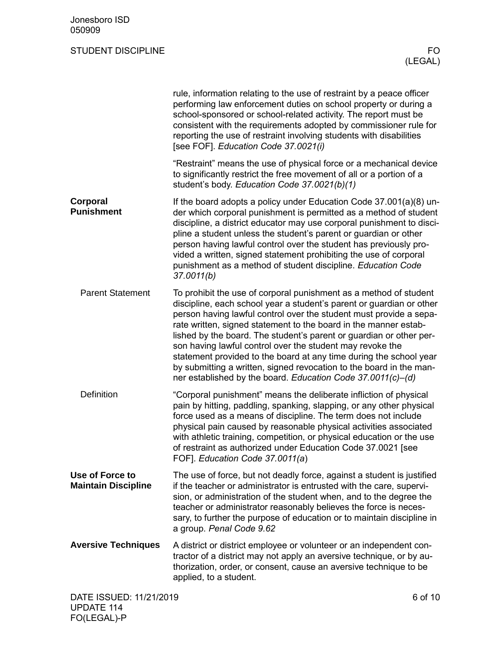|                                               | rule, information relating to the use of restraint by a peace officer<br>performing law enforcement duties on school property or during a<br>school-sponsored or school-related activity. The report must be<br>consistent with the requirements adopted by commissioner rule for<br>reporting the use of restraint involving students with disabilities<br>[see FOF]. Education Code 37.0021(i)                                                                                                                                                                                                                                    |
|-----------------------------------------------|-------------------------------------------------------------------------------------------------------------------------------------------------------------------------------------------------------------------------------------------------------------------------------------------------------------------------------------------------------------------------------------------------------------------------------------------------------------------------------------------------------------------------------------------------------------------------------------------------------------------------------------|
|                                               | "Restraint" means the use of physical force or a mechanical device<br>to significantly restrict the free movement of all or a portion of a<br>student's body. Education Code 37.0021(b)(1)                                                                                                                                                                                                                                                                                                                                                                                                                                          |
| Corporal<br><b>Punishment</b>                 | If the board adopts a policy under Education Code 37.001(a)(8) un-<br>der which corporal punishment is permitted as a method of student<br>discipline, a district educator may use corporal punishment to disci-<br>pline a student unless the student's parent or guardian or other<br>person having lawful control over the student has previously pro-<br>vided a written, signed statement prohibiting the use of corporal<br>punishment as a method of student discipline. Education Code<br>37.0011(b)                                                                                                                        |
| <b>Parent Statement</b>                       | To prohibit the use of corporal punishment as a method of student<br>discipline, each school year a student's parent or guardian or other<br>person having lawful control over the student must provide a sepa-<br>rate written, signed statement to the board in the manner estab-<br>lished by the board. The student's parent or guardian or other per-<br>son having lawful control over the student may revoke the<br>statement provided to the board at any time during the school year<br>by submitting a written, signed revocation to the board in the man-<br>ner established by the board. Education Code 37.0011(c)-(d) |
| <b>Definition</b>                             | "Corporal punishment" means the deliberate infliction of physical<br>pain by hitting, paddling, spanking, slapping, or any other physical<br>force used as a means of discipline. The term does not include<br>physical pain caused by reasonable physical activities associated<br>with athletic training, competition, or physical education or the use<br>of restraint as authorized under Education Code 37.0021 [see<br>FOF]. Education Code 37.0011(a)                                                                                                                                                                        |
| Use of Force to<br><b>Maintain Discipline</b> | The use of force, but not deadly force, against a student is justified<br>if the teacher or administrator is entrusted with the care, supervi-<br>sion, or administration of the student when, and to the degree the<br>teacher or administrator reasonably believes the force is neces-<br>sary, to further the purpose of education or to maintain discipline in<br>a group. Penal Code 9.62                                                                                                                                                                                                                                      |
| <b>Aversive Techniques</b>                    | A district or district employee or volunteer or an independent con-<br>tractor of a district may not apply an aversive technique, or by au-<br>thorization, order, or consent, cause an aversive technique to be<br>applied, to a student.                                                                                                                                                                                                                                                                                                                                                                                          |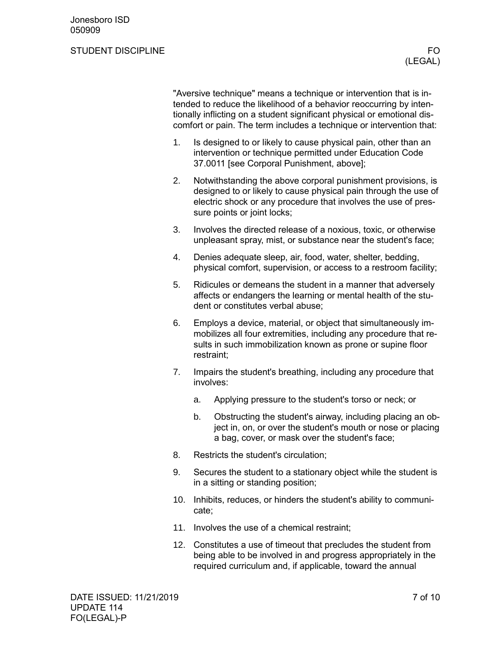#### STUDENT DISCIPLINE THE STUDENT OF STUDENT OF STUDENT OF STUDENT AND THE STUDENT OF STUDENT OF STUDENT AND THE STUDIES

"Aversive technique" means a technique or intervention that is intended to reduce the likelihood of a behavior reoccurring by intentionally inflicting on a student significant physical or emotional discomfort or pain. The term includes a technique or intervention that:

- 1. Is designed to or likely to cause physical pain, other than an intervention or technique permitted under Education Code 37.0011 [see Corporal Punishment, above];
- 2. Notwithstanding the above corporal punishment provisions, is designed to or likely to cause physical pain through the use of electric shock or any procedure that involves the use of pressure points or joint locks;
- 3. Involves the directed release of a noxious, toxic, or otherwise unpleasant spray, mist, or substance near the student's face;
- 4. Denies adequate sleep, air, food, water, shelter, bedding, physical comfort, supervision, or access to a restroom facility;
- 5. Ridicules or demeans the student in a manner that adversely affects or endangers the learning or mental health of the student or constitutes verbal abuse;
- 6. Employs a device, material, or object that simultaneously immobilizes all four extremities, including any procedure that results in such immobilization known as prone or supine floor restraint;
- 7. Impairs the student's breathing, including any procedure that involves:
	- a. Applying pressure to the student's torso or neck; or
	- b. Obstructing the student's airway, including placing an object in, on, or over the student's mouth or nose or placing a bag, cover, or mask over the student's face;
- 8. Restricts the student's circulation;
- 9. Secures the student to a stationary object while the student is in a sitting or standing position;
- 10. Inhibits, reduces, or hinders the student's ability to communicate;
- 11. Involves the use of a chemical restraint;
- 12. Constitutes a use of timeout that precludes the student from being able to be involved in and progress appropriately in the required curriculum and, if applicable, toward the annual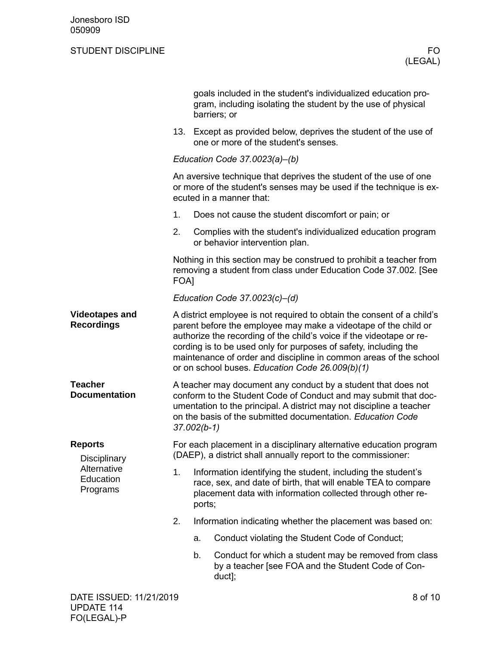|                                                                               |                                                                                                                                                                                                                                                                                                                                                                                                               | goals included in the student's individualized education pro-<br>gram, including isolating the student by the use of physical<br>barriers; or                                                          |  |  |  |
|-------------------------------------------------------------------------------|---------------------------------------------------------------------------------------------------------------------------------------------------------------------------------------------------------------------------------------------------------------------------------------------------------------------------------------------------------------------------------------------------------------|--------------------------------------------------------------------------------------------------------------------------------------------------------------------------------------------------------|--|--|--|
|                                                                               | 13.                                                                                                                                                                                                                                                                                                                                                                                                           | Except as provided below, deprives the student of the use of<br>one or more of the student's senses.                                                                                                   |  |  |  |
|                                                                               |                                                                                                                                                                                                                                                                                                                                                                                                               | Education Code 37.0023(a)-(b)                                                                                                                                                                          |  |  |  |
|                                                                               | An aversive technique that deprives the student of the use of one<br>or more of the student's senses may be used if the technique is ex-<br>ecuted in a manner that:                                                                                                                                                                                                                                          |                                                                                                                                                                                                        |  |  |  |
|                                                                               | 1.                                                                                                                                                                                                                                                                                                                                                                                                            | Does not cause the student discomfort or pain; or                                                                                                                                                      |  |  |  |
|                                                                               | 2.                                                                                                                                                                                                                                                                                                                                                                                                            | Complies with the student's individualized education program<br>or behavior intervention plan.                                                                                                         |  |  |  |
|                                                                               | Nothing in this section may be construed to prohibit a teacher from<br>removing a student from class under Education Code 37.002. [See<br><b>FOA1</b>                                                                                                                                                                                                                                                         |                                                                                                                                                                                                        |  |  |  |
|                                                                               | Education Code 37.0023(c)-(d)                                                                                                                                                                                                                                                                                                                                                                                 |                                                                                                                                                                                                        |  |  |  |
| <b>Videotapes and</b><br><b>Recordings</b>                                    | A district employee is not required to obtain the consent of a child's<br>parent before the employee may make a videotape of the child or<br>authorize the recording of the child's voice if the videotape or re-<br>cording is to be used only for purposes of safety, including the<br>maintenance of order and discipline in common areas of the school<br>or on school buses. Education Code 26.009(b)(1) |                                                                                                                                                                                                        |  |  |  |
| <b>Teacher</b><br><b>Documentation</b>                                        | A teacher may document any conduct by a student that does not<br>conform to the Student Code of Conduct and may submit that doc-<br>umentation to the principal. A district may not discipline a teacher<br>on the basis of the submitted documentation. Education Code<br>$37.002(b-1)$                                                                                                                      |                                                                                                                                                                                                        |  |  |  |
| <b>Reports</b><br><b>Disciplinary</b><br>Alternative<br>Education<br>Programs | For each placement in a disciplinary alternative education program<br>(DAEP), a district shall annually report to the commissioner:                                                                                                                                                                                                                                                                           |                                                                                                                                                                                                        |  |  |  |
|                                                                               | 1.                                                                                                                                                                                                                                                                                                                                                                                                            | Information identifying the student, including the student's<br>race, sex, and date of birth, that will enable TEA to compare<br>placement data with information collected through other re-<br>ports; |  |  |  |
|                                                                               | 2.                                                                                                                                                                                                                                                                                                                                                                                                            | Information indicating whether the placement was based on:                                                                                                                                             |  |  |  |
|                                                                               |                                                                                                                                                                                                                                                                                                                                                                                                               | Conduct violating the Student Code of Conduct;<br>a.                                                                                                                                                   |  |  |  |
|                                                                               |                                                                                                                                                                                                                                                                                                                                                                                                               | b.<br>Conduct for which a student may be removed from class<br>by a teacher [see FOA and the Student Code of Con-<br>duct];                                                                            |  |  |  |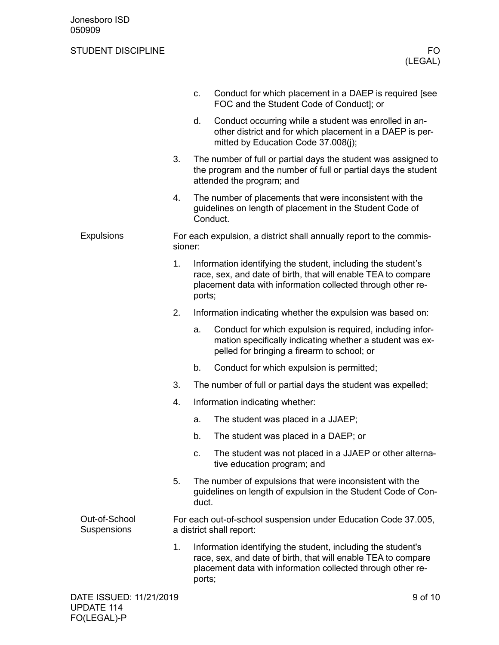|                                     |                         |                                                                                            | c.     | Conduct for which placement in a DAEP is required [see<br>FOC and the Student Code of Conduct]; or                                                                                           |  |
|-------------------------------------|-------------------------|--------------------------------------------------------------------------------------------|--------|----------------------------------------------------------------------------------------------------------------------------------------------------------------------------------------------|--|
|                                     |                         |                                                                                            | d.     | Conduct occurring while a student was enrolled in an-<br>other district and for which placement in a DAEP is per-<br>mitted by Education Code 37.008(j);                                     |  |
|                                     |                         | 3.                                                                                         |        | The number of full or partial days the student was assigned to<br>the program and the number of full or partial days the student<br>attended the program; and                                |  |
|                                     |                         | 4.                                                                                         |        | The number of placements that were inconsistent with the<br>guidelines on length of placement in the Student Code of<br>Conduct.                                                             |  |
| <b>Expulsions</b>                   |                         | For each expulsion, a district shall annually report to the commis-<br>sioner:             |        |                                                                                                                                                                                              |  |
|                                     |                         | 1.                                                                                         | ports; | Information identifying the student, including the student's<br>race, sex, and date of birth, that will enable TEA to compare<br>placement data with information collected through other re- |  |
|                                     |                         | 2.                                                                                         |        | Information indicating whether the expulsion was based on:                                                                                                                                   |  |
|                                     |                         |                                                                                            | a.     | Conduct for which expulsion is required, including infor-<br>mation specifically indicating whether a student was ex-<br>pelled for bringing a firearm to school; or                         |  |
|                                     |                         |                                                                                            | b.     | Conduct for which expulsion is permitted;                                                                                                                                                    |  |
|                                     |                         | 3.                                                                                         |        | The number of full or partial days the student was expelled;                                                                                                                                 |  |
|                                     |                         | 4.                                                                                         |        | Information indicating whether:                                                                                                                                                              |  |
|                                     |                         |                                                                                            | a.     | The student was placed in a JJAEP;                                                                                                                                                           |  |
|                                     |                         |                                                                                            | b.     | The student was placed in a DAEP; or                                                                                                                                                         |  |
|                                     |                         |                                                                                            | C.     | The student was not placed in a JJAEP or other alterna-<br>tive education program; and                                                                                                       |  |
|                                     |                         | 5.                                                                                         | duct.  | The number of expulsions that were inconsistent with the<br>guidelines on length of expulsion in the Student Code of Con-                                                                    |  |
| Out-of-School<br><b>Suspensions</b> |                         | For each out-of-school suspension under Education Code 37.005,<br>a district shall report: |        |                                                                                                                                                                                              |  |
|                                     |                         | 1.                                                                                         | ports; | Information identifying the student, including the student's<br>race, sex, and date of birth, that will enable TEA to compare<br>placement data with information collected through other re- |  |
|                                     | DATE ISSUED: 11/21/2019 |                                                                                            |        | 9 of 10                                                                                                                                                                                      |  |
|                                     |                         |                                                                                            |        |                                                                                                                                                                                              |  |